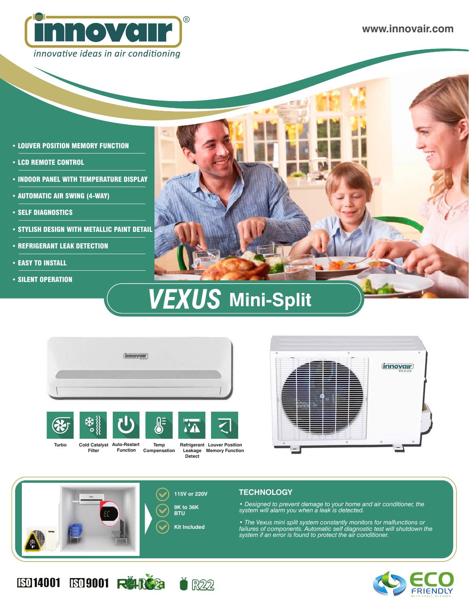

**www.innovair.com**

- LOUVER POSITION MEMORY FUNCTION
- LCD REMOTE CONTROL
- INDOOR PANEL WITH TEMPERATURE DISPLAY
- AUTOMATIC AIR SWING (4-WAY)
- SELF DIAGNOSTICS
- STYLISH DESIGN WITH METALLIC PAINT DETAIL
- REFRIGERANT LEAK DETECTION
- EASY TO INSTALL
- SILENT OPERATION



## **VEXUS** Mini-Split





**Filter**

**Function Compensation Refrigerant Louver Position Leakage Memory Function Detect**







**ED14001 ED9001 RARG2** 



*• Designed to prevent damage to your home and air conditioner, the* 

*• The Vexus mini split system constantly monitors for malfunctions or failures of components. Automatic self diagnostic test will shutdown the*